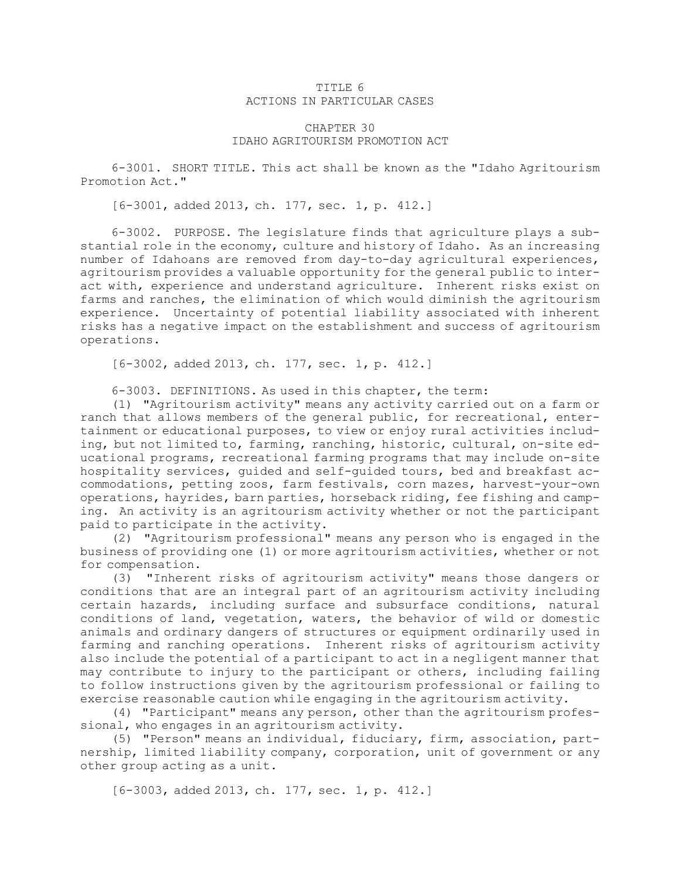## TITLE 6 ACTIONS IN PARTICULAR CASES

## CHAPTER 30 IDAHO AGRITOURISM PROMOTION ACT

6-3001. SHORT TITLE. This act shall be known as the "Idaho Agritourism Promotion Act."

[6-3001, added 2013, ch. 177, sec. 1, p. 412.]

6-3002. PURPOSE. The legislature finds that agriculture plays <sup>a</sup> substantial role in the economy, culture and history of Idaho. As an increasing number of Idahoans are removed from day-to-day agricultural experiences, agritourism provides <sup>a</sup> valuable opportunity for the general public to interact with, experience and understand agriculture. Inherent risks exist on farms and ranches, the elimination of which would diminish the agritourism experience. Uncertainty of potential liability associated with inherent risks has <sup>a</sup> negative impact on the establishment and success of agritourism operations.

[6-3002, added 2013, ch. 177, sec. 1, p. 412.]

6-3003. DEFINITIONS. As used in this chapter, the term:

(1) "Agritourism activity" means any activity carried out on <sup>a</sup> farm or ranch that allows members of the general public, for recreational, entertainment or educational purposes, to view or enjoy rural activities including, but not limited to, farming, ranching, historic, cultural, on-site educational programs, recreational farming programs that may include on-site hospitality services, guided and self-guided tours, bed and breakfast accommodations, petting zoos, farm festivals, corn mazes, harvest-your-own operations, hayrides, barn parties, horseback riding, fee fishing and camping. An activity is an agritourism activity whether or not the participant paid to participate in the activity.

(2) "Agritourism professional" means any person who is engaged in the business of providing one (1) or more agritourism activities, whether or not for compensation.

(3) "Inherent risks of agritourism activity" means those dangers or conditions that are an integral part of an agritourism activity including certain hazards, including surface and subsurface conditions, natural conditions of land, vegetation, waters, the behavior of wild or domestic animals and ordinary dangers of structures or equipment ordinarily used in farming and ranching operations. Inherent risks of agritourism activity also include the potential of <sup>a</sup> participant to act in <sup>a</sup> negligent manner that may contribute to injury to the participant or others, including failing to follow instructions given by the agritourism professional or failing to exercise reasonable caution while engaging in the agritourism activity.

(4) "Participant" means any person, other than the agritourism professional, who engages in an agritourism activity.

(5) "Person" means an individual, fiduciary, firm, association, partnership, limited liability company, corporation, unit of government or any other group acting as <sup>a</sup> unit.

[6-3003, added 2013, ch. 177, sec. 1, p. 412.]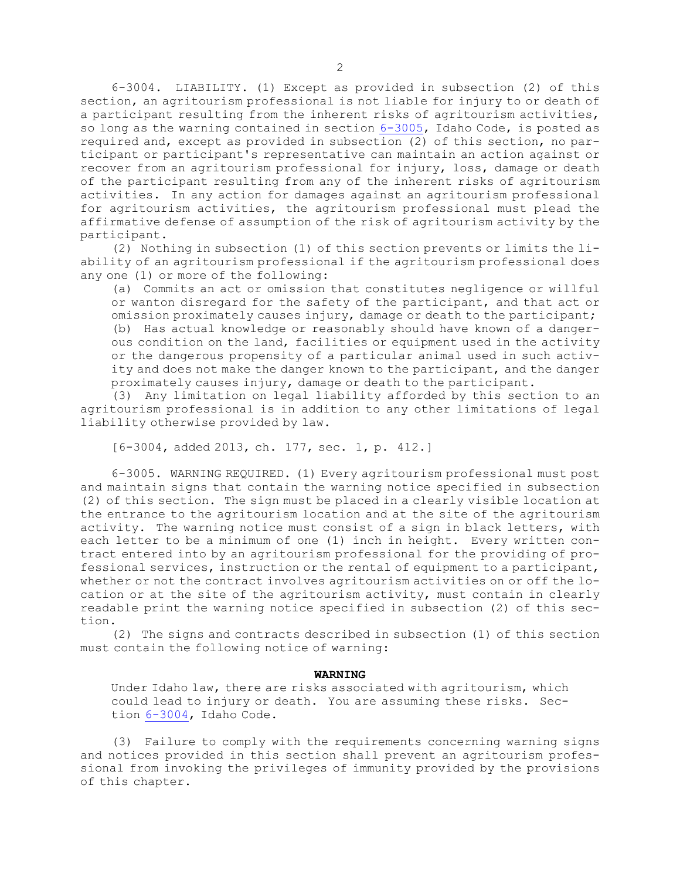6-3004. LIABILITY. (1) Except as provided in subsection (2) of this section, an agritourism professional is not liable for injury to or death of <sup>a</sup> participant resulting from the inherent risks of agritourism activities, so long as the warning contained in section [6-3005](https://legislature.idaho.gov/statutesrules/idstat/Title6/T6CH30/SECT6-3005), Idaho Code, is posted as required and, except as provided in subsection (2) of this section, no participant or participant's representative can maintain an action against or recover from an agritourism professional for injury, loss, damage or death of the participant resulting from any of the inherent risks of agritourism activities. In any action for damages against an agritourism professional for agritourism activities, the agritourism professional must plead the affirmative defense of assumption of the risk of agritourism activity by the participant.

(2) Nothing in subsection (1) of this section prevents or limits the liability of an agritourism professional if the agritourism professional does any one (1) or more of the following:

(a) Commits an act or omission that constitutes negligence or willful or wanton disregard for the safety of the participant, and that act or omission proximately causes injury, damage or death to the participant; (b) Has actual knowledge or reasonably should have known of <sup>a</sup> dangerous condition on the land, facilities or equipment used in the activity or the dangerous propensity of <sup>a</sup> particular animal used in such activity and does not make the danger known to the participant, and the danger proximately causes injury, damage or death to the participant.

(3) Any limitation on legal liability afforded by this section to an agritourism professional is in addition to any other limitations of legal liability otherwise provided by law.

[6-3004, added 2013, ch. 177, sec. 1, p. 412.]

6-3005. WARNING REQUIRED. (1) Every agritourism professional must post and maintain signs that contain the warning notice specified in subsection (2) of this section. The sign must be placed in <sup>a</sup> clearly visible location at the entrance to the agritourism location and at the site of the agritourism activity. The warning notice must consist of <sup>a</sup> sign in black letters, with each letter to be <sup>a</sup> minimum of one (1) inch in height. Every written contract entered into by an agritourism professional for the providing of professional services, instruction or the rental of equipment to <sup>a</sup> participant, whether or not the contract involves agritourism activities on or off the location or at the site of the agritourism activity, must contain in clearly readable print the warning notice specified in subsection (2) of this section.

(2) The signs and contracts described in subsection (1) of this section must contain the following notice of warning:

## **WARNING**

Under Idaho law, there are risks associated with agritourism, which could lead to injury or death. You are assuming these risks. Section [6-3004](https://legislature.idaho.gov/statutesrules/idstat/Title6/T6CH30/SECT6-3004), Idaho Code.

(3) Failure to comply with the requirements concerning warning signs and notices provided in this section shall prevent an agritourism professional from invoking the privileges of immunity provided by the provisions of this chapter.